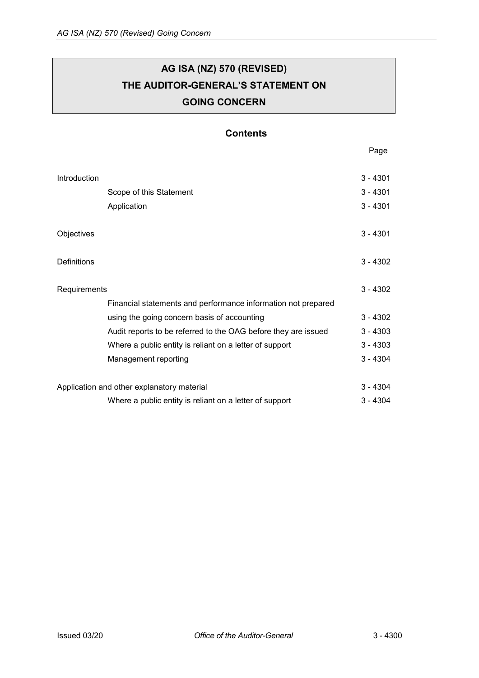# **AG ISA (NZ) 570 (REVISED) THE AUDITOR-GENERAL'S STATEMENT ON GOING CONCERN**

## **Contents**

[Introduction](#page-1-0) 3 - 4301 [Scope of this Statement](#page-1-1) 3 - 4301 [Application](#page-1-2) 3 - 4301 [Objectives](#page-1-3) 3 - 4301 [Definitions](#page-2-0) 3 - 4302 [Requirements](#page-2-1) 3 - 4302 [Financial statements and performance information not prepared](#page-2-2)  [using the going concern basis of accounting](#page-2-2) 3 - 4302 [Audit reports to be referred to the OAG before they are issued](#page-3-0) 3 - 4303 Where a [public entity is reliant on a letter of support](#page-3-1) 3 - 4303 [Management reporting](#page-4-0) 3 - 4304 [Application and other explanatory material](#page-4-1) 3 - 4304 [Where a public entity is reliant on a letter of support 3 -](#page-4-2) 4304

Page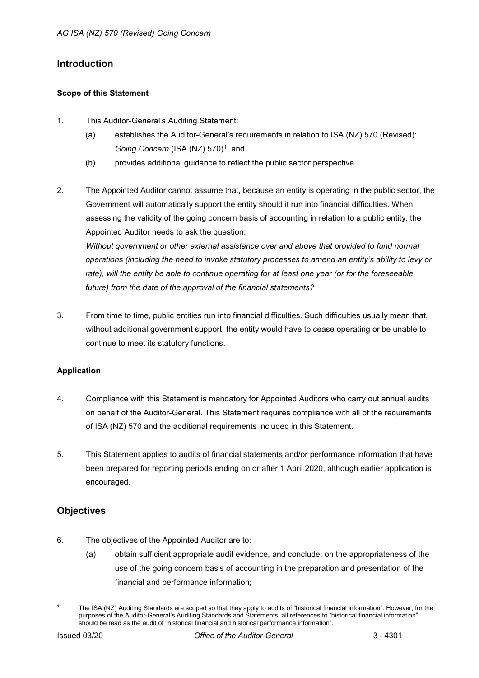## <span id="page-1-0"></span>**Introduction**

### <span id="page-1-1"></span>**Scope of this Statement**

- 1. This Auditor-General's Auditing Statement:
	- (a) establishes the Auditor-General's requirements in relation to ISA (NZ) 570 (Revised): *Going Concern* (ISA (NZ) 570)<sup>[1](#page-1-4)</sup>; and
	- (b) provides additional guidance to reflect the public sector perspective.
- 2. The Appointed Auditor cannot assume that, because an entity is operating in the public sector, the Government will automatically support the entity should it run into financial difficulties. When assessing the validity of the going concern basis of accounting in relation to a public entity, the Appointed Auditor needs to ask the question: *Without government or other external assistance over and above that provided to fund normal operations (including the need to invoke statutory processes to amend an entity's ability to levy or*

*rate), will the entity be able to continue operating for at least one year (or for the foreseeable future) from the date of the approval of the financial statements?*

3. From time to time, public entities run into financial difficulties. Such difficulties usually mean that, without additional government support, the entity would have to cease operating or be unable to continue to meet its statutory functions.

## <span id="page-1-2"></span>**Application**

- 4. Compliance with this Statement is mandatory for Appointed Auditors who carry out annual audits on behalf of the Auditor-General. This Statement requires compliance with all of the requirements of ISA (NZ) 570 and the additional requirements included in this Statement.
- 5. This Statement applies to audits of financial statements and/or performance information that have been prepared for reporting periods ending on or after 1 April 2020, although earlier application is encouraged.

## <span id="page-1-3"></span>**Objectives**

- 6. The objectives of the Appointed Auditor are to:
	- (a) obtain sufficient appropriate audit evidence, and conclude, on the appropriateness of the use of the going concern basis of accounting in the preparation and presentation of the financial and performance information;

<span id="page-1-4"></span>The ISA (NZ) Auditing Standards are scoped so that they apply to audits of "historical financial information". However, for the purposes of the Auditor-General's Auditing Standards and Statements, all references to "historical financial information" should be read as the audit of "historical financial and historical performance information".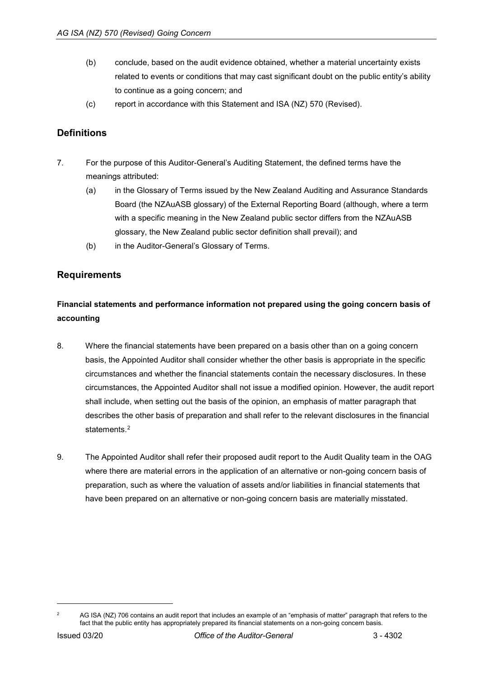- (b) conclude, based on the audit evidence obtained, whether a material uncertainty exists related to events or conditions that may cast significant doubt on the public entity's ability to continue as a going concern; and
- (c) report in accordance with this Statement and ISA (NZ) 570 (Revised).

# <span id="page-2-0"></span>**Definitions**

- 7. For the purpose of this Auditor-General's Auditing Statement, the defined terms have the meanings attributed:
	- (a) in the Glossary of Terms issued by the New Zealand Auditing and Assurance Standards Board (the NZAuASB glossary) of the External Reporting Board (although, where a term with a specific meaning in the New Zealand public sector differs from the NZAuASB glossary, the New Zealand public sector definition shall prevail); and
	- (b) in the Auditor-General's Glossary of Terms.

## <span id="page-2-1"></span>**Requirements**

# <span id="page-2-2"></span>**Financial statements and performance information not prepared using the going concern basis of accounting**

- 8. Where the financial statements have been prepared on a basis other than on a going concern basis, the Appointed Auditor shall consider whether the other basis is appropriate in the specific circumstances and whether the financial statements contain the necessary disclosures. In these circumstances, the Appointed Auditor shall not issue a modified opinion. However, the audit report shall include, when setting out the basis of the opinion, an emphasis of matter paragraph that describes the other basis of preparation and shall refer to the relevant disclosures in the financial statements<sup>[2](#page-2-3)</sup>
- 9. The Appointed Auditor shall refer their proposed audit report to the Audit Quality team in the OAG where there are material errors in the application of an alternative or non-going concern basis of preparation, such as where the valuation of assets and/or liabilities in financial statements that have been prepared on an alternative or non-going concern basis are materially misstated.

<span id="page-2-3"></span>AG ISA (NZ) 706 contains an audit report that includes an example of an "emphasis of matter" paragraph that refers to the fact that the public entity has appropriately prepared its financial statements on a non-going concern basis.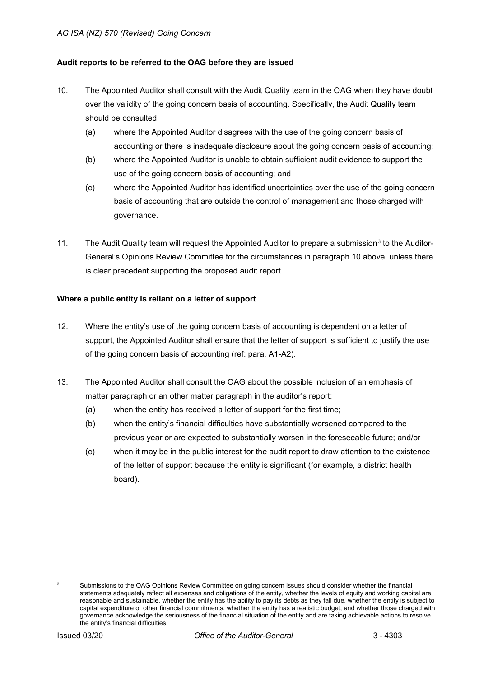#### <span id="page-3-0"></span>**Audit reports to be referred to the OAG before they are issued**

- 10. The Appointed Auditor shall consult with the Audit Quality team in the OAG when they have doubt over the validity of the going concern basis of accounting. Specifically, the Audit Quality team should be consulted:
	- (a) where the Appointed Auditor disagrees with the use of the going concern basis of accounting or there is inadequate disclosure about the going concern basis of accounting;
	- (b) where the Appointed Auditor is unable to obtain sufficient audit evidence to support the use of the going concern basis of accounting; and
	- (c) where the Appointed Auditor has identified uncertainties over the use of the going concern basis of accounting that are outside the control of management and those charged with governance.
- 11. The Audit Quality team will request the Appointed Auditor to prepare a submission<sup>[3](#page-3-2)</sup> to the Auditor-General's Opinions Review Committee for the circumstances in paragraph 10 above, unless there is clear precedent supporting the proposed audit report.

### <span id="page-3-1"></span>**Where a public entity is reliant on a letter of support**

- 12. Where the entity's use of the going concern basis of accounting is dependent on a letter of support, the Appointed Auditor shall ensure that the letter of support is sufficient to justify the use of the going concern basis of accounting (ref: para. A1-A2).
- 13. The Appointed Auditor shall consult the OAG about the possible inclusion of an emphasis of matter paragraph or an other matter paragraph in the auditor's report:
	- (a) when the entity has received a letter of support for the first time;
	- (b) when the entity's financial difficulties have substantially worsened compared to the previous year or are expected to substantially worsen in the foreseeable future; and/or
	- (c) when it may be in the public interest for the audit report to draw attention to the existence of the letter of support because the entity is significant (for example, a district health board).

<span id="page-3-2"></span><sup>&</sup>lt;sup>3</sup> Submissions to the OAG Opinions Review Committee on going concern issues should consider whether the financial statements adequately reflect all expenses and obligations of the entity, whether the levels of equity and working capital are reasonable and sustainable, whether the entity has the ability to pay its debts as they fall due, whether the entity is subject to capital expenditure or other financial commitments, whether the entity has a realistic budget, and whether those charged with governance acknowledge the seriousness of the financial situation of the entity and are taking achievable actions to resolve the entity's financial difficulties.